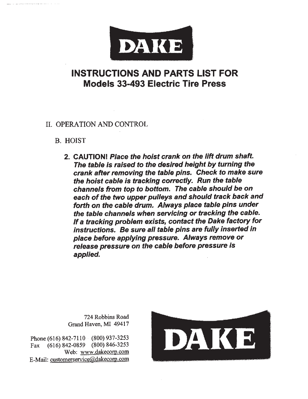

# **INSTRUCTIONS AND PARTS LIST FOR Models 33-493 Electric Tire Press**

## II. OPERATION AND CONTROL

# **B. HOIST**

2. CAUTION! Place the hoist crank on the lift drum shaft. The table is raised to the desired height by turning the crank after removing the table pins. Check to make sure the hoist cable is tracking correctly. Run the table channels from top to bottom. The cable should be on each of the two upper pulleys and should track back and forth on the cable drum. Always place table pins under the table channels when servicing or tracking the cable. If a tracking problem exists, contact the Dake factory for instructions. Be sure all table pins are fully inserted in place before applying pressure. Always remove or release pressure on the cable before pressure is applied.

724 Robbins Road Grand Haven, MI 49417

Phone (616) 842-7110 (800) 937-3253 Fax (616) 842-0859 (800) 846-3253 Web: www.dakecorp.com E-Mail: customerservice@dakecorp.com

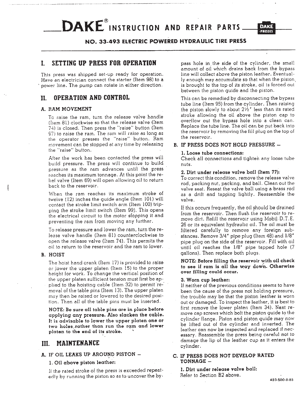# **DAKE** INSTRUCTION AND REPAIR PARTS.



## NO. 33-493 ELECTRIC POWERED HYDRAULIC TIRE PRESS

#### SETTING UP PRESS FOR OPERATION L

This press was shipped set-up ready for operation. Have an electrician connect the starter (Item 98) to a power line. The pump can rotate in either direction.

#### OPERATION AND CONTROL II.

#### A. RAM MOVEMENT

To raise the ram, turn the release valve handle (Item 81) clockwise so that the release valve (Item 74) is closed. Then press the "raise" button (Item 97) to raise the ram. The ram will raise as long as the operator presses the "raise" button. Ram movement can be stopped at any time by releasing the "raise" button.

After the work has been contacted the press will build pressure. The press will continue to build pressure as the ram advances until the press reaches its maximum tonnage. At this point the relief valve (Item 69) will open allowing oil to return back to the reservoir.

When the ram reaches its maximum stroke of twelve (12) inches the quide angle (Item 101) will contact the stroke limit switch arm (Item 100) tripping the stroke limit switch (Item 99). This opens the electrical circuit to the motor stopping it and preventing the ram from moving any further.

To release pressure and lower the ram, turn the release valve handle (Item 81) counterclockwise to open the release valve (Item 74). This permits the oil to return to the reservoir and the ram to lower.

#### **B. HOIST**

The hoist hand crank (Item 17) is provided to raise or lower the upper platen (Item 15) to the proper height for work. To change the vertical position of the upper platen sufficient tension must first be applied to the hoisting cable (Item 32) to permit removal of the table pins (Item 13). The upper platen may then be raised or lowered to the desired position. Then all of the table pins must be inserted.

NOTE: Be sure all table pins are in place before applying any pressure. Also slacken the cable. It is advisable to lower the upper platen one or two holes rather than run the ram and lower platen to the end of its stroke.

#### MAINTENANCE III.

#### A. IF OIL LEAKS UP AROUND PISTON -

#### 1. Oil above piston leather:

If the rated stroke of the press is exceeded repeatedly by running the piston so as to uncover the bypass hole in the side of the cylinder, the small amount of oil which drains back from the bypass line will collect above the piston leather. Eventually enough may accumulate so that when the piston. is brought to the top of its stroke, oil is forced out between the piston guide and the piston.

This can be remedied by disconnecting the bypass tube line (Item 95) from the cylinder. Then raising the piston slowly to about  $2\frac{1}{2}$ " less than its rated stroke allowing the oil above the piston cap to overflow out the bypass hole into a clean can. Replace the tube line. The oil can be put back into the reservoir by removing the fill plug on the top of the reservoir.

## B. IF PRESS DOES NOT HOLD PRESSURE -

#### 1. Loose tube connections:

Check all connections and tighten any loose tube nuts.

#### 2. Dirt under release valve ball (Item 77):

To correct this condition, remove the release valve rod, packing nut, packing, and ball. Clean out the valve seat. Reseat the valve ball using a brass rod as a drift and tapping lightly. Reassemble the valve.

If this occurs frequently, the oil should be drained from the reservoir. Then flush the reservoir to remove dirt. Refill the reservoir using Mobil D.T.E. 26 or its equivalent hydraulic oil. The oil must be filtered carefully to remove any foreign substances. Remove 3/4" pipe plug (Item 48) and 1/8" pipe plug on the side of the reservoir. Fill with oil until oil reaches the 1/8" pipe tapped hole (7 gallons). Then replace both plugs.

#### NOTE: Before filling the reservoir with oil check to see if ram is all the way down. Otherwise over filling could occur.

#### 3. Worn cup leather:

If neither of the previous conditions seems to have been the cause of the press not holding pressure, the trouble may be that the piston leather is worn out or damaged. To inspect the leather, it is best to first remove the lower platen (Item 34). Next remove cap screws which bolt the piston guide to the cylinder flange. Piston and piston guide may now be lifted out of the cylinder and inverted. The leather can now be inspected and replaced if necessary. Reassemble the press being careful not to damage the lip of the leather cup as it enters the cylinder.

### C. IF PRESS DOES NOT DEVELOP RATED TONNAGE-

1. Dirt under release valve ball: Refer to Section B2 above.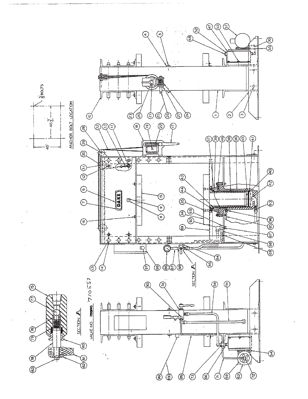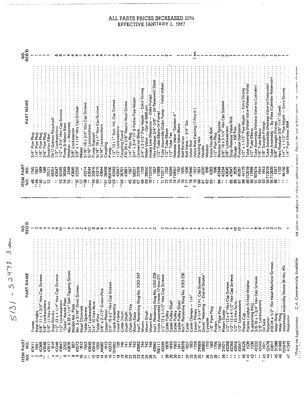ALL PARTS PRICES INCREASED 10% EFFECTIVE JANUARY 1, 1987

| NO.<br>REQ'D                     |                                                                      |                              |                                       |                                              |                            |                                                         |                   |                                                 |                                                                     |                               |                  |                      |                                                                                 |                                                                                |                 |                                                              |                   |                                                  |                              |                                                       |                                                |                          |          |                                                                                    |                                                                          |                                 |                                                                                       |                           |                                                                                                                                                             |       | 1 set                                                  |                                                                                    |          |                                  |                          |                                                         |                                                                                                                         |                                           |                  |                                                                                                                                                                                                                                                                                                                     |                                            |                                                   |                                                                      |                                           |                                                                                           |                                                    |                |               |
|----------------------------------|----------------------------------------------------------------------|------------------------------|---------------------------------------|----------------------------------------------|----------------------------|---------------------------------------------------------|-------------------|-------------------------------------------------|---------------------------------------------------------------------|-------------------------------|------------------|----------------------|---------------------------------------------------------------------------------|--------------------------------------------------------------------------------|-----------------|--------------------------------------------------------------|-------------------|--------------------------------------------------|------------------------------|-------------------------------------------------------|------------------------------------------------|--------------------------|----------|------------------------------------------------------------------------------------|--------------------------------------------------------------------------|---------------------------------|---------------------------------------------------------------------------------------|---------------------------|-------------------------------------------------------------------------------------------------------------------------------------------------------------|-------|--------------------------------------------------------|------------------------------------------------------------------------------------|----------|----------------------------------|--------------------------|---------------------------------------------------------|-------------------------------------------------------------------------------------------------------------------------|-------------------------------------------|------------------|---------------------------------------------------------------------------------------------------------------------------------------------------------------------------------------------------------------------------------------------------------------------------------------------------------------------|--------------------------------------------|---------------------------------------------------|----------------------------------------------------------------------|-------------------------------------------|-------------------------------------------------------------------------------------------|----------------------------------------------------|----------------|---------------|
| PART NAME                        | 3/4" Pipe Plug<br>1/4" Pipe Plug<br>1/8" Pipe Plug<br>3/8" Pipe Plug |                              | <b>Breather</b> Filter                | Oil (7 Gallons Required)<br>1/2" Lockwashers | 172" x 374" Hex Cap Screws | Pump & Motor Base                                       | Washer - Neoprene | 3/8" Lockwasher<br>3/8" x 1-1/4" Hex Cap Screws |                                                                     | 5/16" Lockwashers             | Pump Support     |                      | rump Support ………………<br>5/16"-18 x 1″ Hex Cap Screws .<br>5/16" Lockwashers ………… | Coupling                                                                       |                 | Pump<br>1/2"-13 x 1" Soc. Hd. Cap Screws<br>1/2" Lockwashers |                   | Coupling Guard<br>#10-24 x 3/8" Round Head Screw |                              | 1/4" Pipe Plug<br>3/4" x 3/4" FF-S Parker Pipe Nipple |                                                |                          |          | Hex Reducer 3/4"-3/8" -- I'm Reservoir) Steel                                      | /2" Tube Elbow (In Pump)<br>ube Assembly (Dake Pump – Relief Valve)<br>2 |                                 | FTube Elbow<br>* Tube Tee Advancement and the Technology<br>$\tilde{\mathbf{r}}$<br>ร | Release Valve "Section A" |                                                                                                                                                             |       | varve nou<br>Valve Rod Packing (7 Req'd.)<br>Valve Rod |                                                                                    | Washer   | 1/2" Pipe Plug                   |                          | Release Valve Spacer<br>3/8"-16 x 2-1/4" Hex Cap Screws | <b>*****************</b><br>378" Lockwashers                                                                            | Stop-Release Valve Rod<br>Gauge – 150 Ton |                  | Pulsation Dampener<br>1/2" x 1-1/2" Pipe Nipple – Extra Strong                                                                                                                                                                                                                                                      | Tube Assembly (Relief Valve-Release Valve) | 1/2" Tube Elbow                                   | l / z      i ube  Elbow<br>Tube Assembly (Release Valve 10 Cylinder) | 7/8" Tube Elbow<br>7/8" Straight Fittings | Tube Assembly (Recase Valve to Reservoir)<br>Tube Assembly – By-Pass (Cylinder-Reservoir) |                                                    |                |               |
| <b>TEM PART</b><br>9.<br>S<br>gi | 1745<br>1567<br>₽                                                    | g<br>588<br>5                | 29571<br>ន                            | 46051<br>43647                               | 43345<br>នន                | 36509<br>2248                                           | 43645<br>\$8      | 43330                                           | G                                                                   | 43314<br>$\ddot{\phantom{a}}$ | 25916<br>43644   | 43315<br>8:          | 43644                                                                           | 28498                                                                          | 950106<br>43469 |                                                              | 43647             | 36761<br>43881                                   |                              |                                                       |                                                |                          |          |                                                                                    | 1657<br>1799                                                             |                                 |                                                                                       |                           |                                                                                                                                                             |       |                                                        | ទ្ធន្តន្តន<br>85                                                                   | 23:      | 6268<br>636<br>47948             |                          | 43345                                                   | $\ddot{\phantom{a}}$                                                                                                    | 47947<br>2025<br>వ్                       |                  |                                                                                                                                                                                                                                                                                                                     |                                            |                                                   |                                                                      |                                           |                                                                                           |                                                    | $\frac{32}{2}$ | 44156<br>1099 |
|                                  | 65                                                                   | $\infty$                     |                                       |                                              |                            |                                                         |                   | នុ                                              |                                                                     | នុ                            | .59              |                      |                                                                                 | $\ddot{\mathbf{e}}$                                                            |                 | នន្ទះ                                                        |                   | $\ddot{\circ}$ :                                 |                              |                                                       |                                                |                          |          |                                                                                    |                                                                          |                                 |                                                                                       |                           |                                                                                                                                                             |       |                                                        |                                                                                    |          |                                  |                          |                                                         |                                                                                                                         |                                           |                  |                                                                                                                                                                                                                                                                                                                     |                                            |                                                   |                                                                      |                                           |                                                                                           |                                                    |                |               |
|                                  |                                                                      |                              |                                       |                                              |                            |                                                         |                   |                                                 |                                                                     |                               |                  |                      |                                                                                 |                                                                                |                 |                                                              |                   |                                                  |                              |                                                       |                                                |                          |          |                                                                                    |                                                                          |                                 |                                                                                       |                           |                                                                                                                                                             |       |                                                        |                                                                                    |          |                                  |                          |                                                         |                                                                                                                         |                                           |                  |                                                                                                                                                                                                                                                                                                                     |                                            |                                                   |                                                                      |                                           |                                                                                           |                                                    |                |               |
| NO.<br>REQ'D                     |                                                                      |                              |                                       | ₹                                            | ₽                          |                                                         |                   |                                                 |                                                                     |                               |                  |                      |                                                                                 |                                                                                |                 |                                                              |                   |                                                  |                              |                                                       |                                                |                          |          |                                                                                    |                                                                          |                                 |                                                                                       |                           |                                                                                                                                                             |       |                                                        |                                                                                    |          |                                  |                          |                                                         |                                                                                                                         |                                           |                  |                                                                                                                                                                                                                                                                                                                     |                                            |                                                   |                                                                      |                                           |                                                                                           |                                                    |                |               |
|                                  |                                                                      |                              |                                       |                                              |                            |                                                         |                   |                                                 |                                                                     |                               |                  |                      |                                                                                 |                                                                                |                 |                                                              |                   |                                                  |                              |                                                       |                                                |                          |          |                                                                                    |                                                                          |                                 |                                                                                       |                           |                                                                                                                                                             |       |                                                        |                                                                                    |          |                                  |                          |                                                         |                                                                                                                         |                                           |                  |                                                                                                                                                                                                                                                                                                                     |                                            |                                                   |                                                                      |                                           |                                                                                           |                                                    |                |               |
| PART NAME                        |                                                                      |                              |                                       |                                              |                            | "Dake" Name Plate<br>No. 6-32 x 1/4" Self-Tapping Screw |                   |                                                 |                                                                     |                               |                  |                      |                                                                                 |                                                                                |                 |                                                              |                   |                                                  |                              |                                                       |                                                |                          |          |                                                                                    |                                                                          |                                 |                                                                                       |                           |                                                                                                                                                             |       |                                                        |                                                                                    |          |                                  | $\frac{1}{2}$            |                                                         |                                                                                                                         |                                           |                  |                                                                                                                                                                                                                                                                                                                     |                                            |                                                   |                                                                      |                                           |                                                                                           | Retainer<br>#10:24 x 1/2" Flat Head Machine Screws |                |               |
|                                  |                                                                      |                              |                                       |                                              |                            |                                                         |                   | No. 2 x 3/16" Drive Screws                      |                                                                     |                               |                  | <b>*************</b> |                                                                                 |                                                                                |                 | Crank Assembly                                               |                   | $\frac{1}{2}$                                    |                              |                                                       | worm Gear<br>Nat'l. Retaining Ring No. XSO-247 | <b>+++++++++++++++++</b> |          | Worm Key<br>Nat'l. Retaining Ring No. XSO-239<br>Hoist Assembly (Items 17 thru 27) |                                                                          | 1/2"-13 x 1-1/2" Hex Cap Screws |                                                                                       | $\vdots$                  |                                                                                                                                                             |       |                                                        | Lower Platen<br>3/4" x 3-1/4" 12 Pt. Cap Screws<br>Decal "Warning – End of Stroke" |          | $-1$ , $-1$ , $-1$ , $-1$ , $-1$ |                          |                                                         | $1/2^{n-1}3 \times 4^{n}$ Hex Cap Screws<br>$1/2^{n-1}3 \times 4 \cdot 1/2^{n}$ Hex Cap Screws<br>$1/2^{n-1}3$ Hex Nuts |                                           |                  | $\frac{1}{2}$ $\frac{1}{2}$ $\frac{1}{2}$ $\frac{1}{2}$ $\frac{1}{2}$ $\frac{1}{2}$ $\frac{1}{2}$ $\frac{1}{2}$ $\frac{1}{2}$ $\frac{1}{2}$ $\frac{1}{2}$ $\frac{1}{2}$ $\frac{1}{2}$ $\frac{1}{2}$ $\frac{1}{2}$ $\frac{1}{2}$ $\frac{1}{2}$ $\frac{1}{2}$ $\frac{1}{2}$ $\frac{1}{2}$ $\frac{1}{2}$ $\frac{1}{2}$ | Piston Cap<br>Piston Leather & Heel Washer | Supporting Ring<br>3/8-16 x 1-3/4" Hex Cap Screws |                                                                      | 3/8" Lockwashers                          |                                                                                           |                                                    |                |               |
|                                  | $\vdots$                                                             |                              |                                       |                                              |                            |                                                         |                   |                                                 |                                                                     |                               |                  |                      |                                                                                 |                                                                                |                 |                                                              |                   |                                                  |                              |                                                       |                                                |                          |          |                                                                                    |                                                                          |                                 |                                                                                       |                           |                                                                                                                                                             |       |                                                        |                                                                                    |          |                                  |                          |                                                         |                                                                                                                         |                                           |                  |                                                                                                                                                                                                                                                                                                                     |                                            |                                                   |                                                                      |                                           |                                                                                           |                                                    |                |               |
|                                  | Base Angles<br>5/8"-11 x 1-3/4" Hex Cap Screws<br>Frame.             |                              | 5/8" Lockwashers<br>5/8"-11 Hex Nuts. |                                              |                            |                                                         | Model No. Plate   |                                                 | Head Channels<br>Table Spacers<br>3/4" Lockwashers<br>Head Channels |                               | 3/4"-10 Hex Nuts |                      |                                                                                 |                                                                                |                 |                                                              | Hoist Frame       | Cable Drum                                       | Drum Shaft Key<br>Drum Shaft | Worm Gear                                             |                                                | Worm<br>Worm Shaft       | Worm Key |                                                                                    |                                                                          |                                 | Cable Pulley Shaft<br>Cable Pulley                                                    |                           | المنافع العالمين المستقرر المنافع المستقرر المستقرر المستقرر المستقرر المستقرر المستقرر المستقرر المستقرر المس<br>Natl. Retaining Ring No. XSO-230<br>Canto |       |                                                        |                                                                                    | Cylinder | 1/8" Pipe Plug<br>Piston         | rtston<br>1/4" Pipe Plug | Piston Guide                                            |                                                                                                                         |                                           | 1/2" Lockwashers |                                                                                                                                                                                                                                                                                                                     |                                            |                                                   |                                                                      | Oil Seal                                  |                                                                                           |                                                    |                |               |
|                                  |                                                                      |                              |                                       |                                              |                            |                                                         |                   |                                                 |                                                                     |                               |                  |                      |                                                                                 |                                                                                |                 |                                                              |                   |                                                  |                              |                                                       |                                                |                          |          |                                                                                    |                                                                          |                                 |                                                                                       |                           |                                                                                                                                                             |       |                                                        |                                                                                    |          |                                  |                          |                                                         |                                                                                                                         |                                           |                  |                                                                                                                                                                                                                                                                                                                     |                                            |                                                   |                                                                      |                                           |                                                                                           |                                                    |                |               |
| ITEM PART<br>NO. NO.             | 47411                                                                | 1551<br>1598<br>1999<br>1991 |                                       | 1819                                         | និង<br>ដូងដូន<br>ដូងដូន    |                                                         |                   | 43573                                           | 1812                                                                | 1553                          | 43649            |                      |                                                                                 | $\begin{array}{c} 19 \\ 195 \\ 196 \\ 197 \\ 198 \\ 191 \\ 191 \\ \end{array}$ | 43373           | 701653                                                       | <b>PAC</b><br>282 |                                                  |                              |                                                       | 745<br>745<br>743<br>743                       | 744                      | 743      | 43982                                                                              | 700111                                                                   | 43349                           | 1809                                                                                  | 1810<br>ន្ទ្រ             | 1811                                                                                                                                                        | 43978 | g                                                      | 13888<br>24588<br>3888                                                             | 1793     | සූ<br>1796                       | 1567                     | 31871                                                   | 4339                                                                                                                    |                                           | 43916<br>43647   | 30425                                                                                                                                                                                                                                                                                                               |                                            | 33                                                | 43332<br>43645                                                       | 1871                                      | 52478                                                                                     | 43817                                              | 31400<br>31399 | 707070        |

All prices are subject to channe without notice. Prices do not include nonze or everge channel

ł,

\* Price on Application C.A. Commercially Available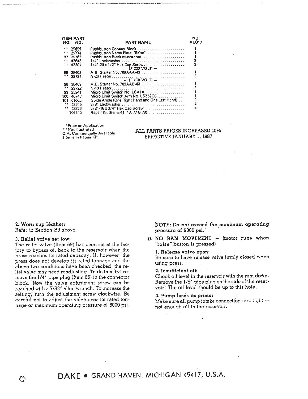|     | <b>ITEM PART</b><br>NO. NO. | <b>PART NAME</b>                                     | NO.<br><b>REQ'D</b> |
|-----|-----------------------------|------------------------------------------------------|---------------------|
|     | 29699                       | Pushbutton Contact Block                             |                     |
|     | 29774                       | Pushbutton Name Plate "Raise"                        |                     |
| 97  | 29782                       |                                                      |                     |
|     | 43643                       | 1/4" Lockwasher                                      | 3<br>3              |
|     | 43301                       | 1/4"-20 x 1/2" Hex Cap Screws<br>$-$ IF 230 VOLT $-$ |                     |
|     | 98 38408                    | A.B. Starter No. 709AAA-43                           |                     |
|     | 29724                       |                                                      | 3                   |
|     |                             | $-15.730$ VOLT $-$                                   |                     |
| 98. | 38409                       | A.B. Starter No. 709AAB-43                           |                     |
|     | 29722                       |                                                      |                     |
| 99  | 35941                       | Micro Limit Switch No. LSA1A                         |                     |
| 100 | 46743                       | Micro Limit Switch Arm No. LSZ52CC                   |                     |
| 101 | 61063                       | Guide Angle (One Right Hand and One Left Hand)       |                     |
|     | 43645                       | 3/8" Lockwasher                                      | 4                   |
|     | 43326                       | $3/8" - 16 \times 3/4"$ Hex Cap Screw                | 4                   |
|     | 706540                      | Repair Kit (Items 41, 43, 77 & 79)                   |                     |

\* Price on Application \* \* Not Illustrated C.A. Commercially Available titems in Repair Kit

### ALL PARTS PRICES INCREASED 10% EFFECTIVE JANUARY 1, 1987

## 2. Worn cup léather:

Refer to Section B3 above.

#### 3. Relief valve set low:

The relief valve (Item 69) has been set at the factory to bypass oil back to the reservoir when the press reaches its rated capacity. If, however, the press does not develop its rated tonnage and the above two conditions have been checked, the relief valve may need readjusting. To do this first remove the 1/4" pipe plug (Item 65) in the connector block. Now the valve adjustment screw can be reached with a 7/32" allen wrench. To increase the setting, turn the adjustment screw clockwise. Be careful not to adjust the valve over its rated tonnage or maximum operating pressure of 6000 psi. NOTE: Do not exceed the maximum operating pressure of 6000 psi.

D. NO RAM MOVEMENT - (motor runs when "raise" button is pressed)

#### 1. Release valve open:

Be sure to have release valve firmly closed when using press.

#### 2. Insufficient oil:

Check oil level in the reservoir with the ram down. Remove the 1/8" pipe plug on the side of the reservoir. The oil level should be up to this hole.

#### 3. Pump loses its prime:

Make sure all pump intake connections are tight  $$ not enough oil in the reservoir.